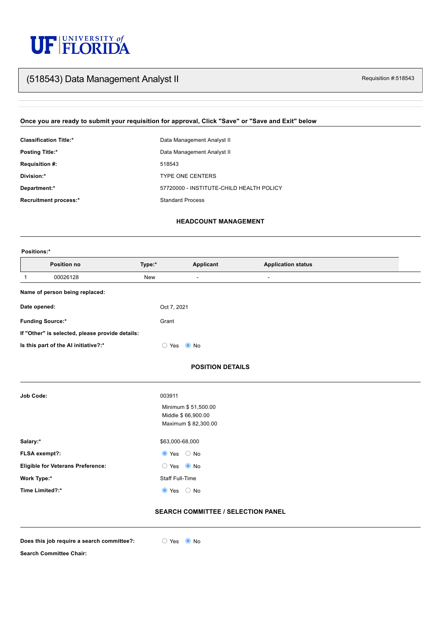# UF FLORIDA

# Requisition #:518543 (518543) Data Management Analyst II

## **Once you are ready to submit your requisition for approval, Click "Save" or "Save and Exit" below**

| <b>Classification Title:*</b> | Data Management Analyst II               |
|-------------------------------|------------------------------------------|
| <b>Posting Title:*</b>        | Data Management Analyst II               |
| <b>Requisition #:</b>         | 518543                                   |
| Division:*                    | <b>TYPE ONE CENTERS</b>                  |
| Department:*                  | 57720000 - INSTITUTE-CHILD HEALTH POLICY |
| <b>Recruitment process:*</b>  | <b>Standard Process</b>                  |

| <b>Job Code:</b>                         | 003911                                                           |
|------------------------------------------|------------------------------------------------------------------|
|                                          | Minimum \$51,500.00<br>Middle \$66,900.00<br>Maximum \$82,300.00 |
| Salary:*                                 | \$63,000-68,000                                                  |
| FLSA exempt?:                            | $\bullet$ Yes $\circ$ No                                         |
| <b>Eligible for Veterans Preference:</b> | $\bullet$ No<br>$\supset$ Yes                                    |

**Work Type:\*** Staff Full-Time

**Time Limited?:\***  $\qquad \qquad \bullet$  Yes  $\qquad \circledcirc$  No

#### **HEADCOUNT MANAGEMENT**

#### **Positions:\***

#### **POSITION DETAILS**

| <b>Position no</b><br>Type:*                    | <b>Applicant</b>                                                         | <b>Application status</b> |  |
|-------------------------------------------------|--------------------------------------------------------------------------|---------------------------|--|
| 00026128<br>New                                 | $\blacksquare$                                                           | $\blacksquare$            |  |
| Name of person being replaced:                  |                                                                          |                           |  |
| Date opened:                                    | Oct 7, 2021                                                              |                           |  |
| <b>Funding Source:*</b>                         | Grant                                                                    |                           |  |
| If "Other" is selected, please provide details: |                                                                          |                           |  |
| Is this part of the AI initiative?:*            | $\bullet$ No<br>$\left( \begin{array}{c} 0 \\ 0 \end{array} \right)$ Yes |                           |  |

#### **SEARCH COMMITTEE / SELECTION PANEL**

**Does** this job require a search committee?:  $\bigcirc$  Yes  $\bigcirc$  No



**Search Committee Chair:**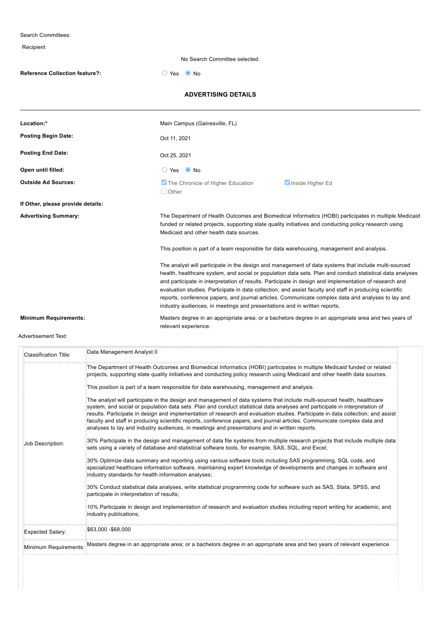Search Committees: Recipient No Search Committee selected. **Reference Collection feature?:**  $\bigcirc$  Yes  $\bigcirc$  No **ADVERTISING DETAILS Location:\*** Main Campus (Gainesville, FL) **Posting Begin Date: Posting End Date: Open until filled:**  $\bigcirc$  Yes  $\bigcirc$  No **Outside Ad Sources: If Other, please provide details: Advertising Summary:** The Department of Health Outcomes and Biomedical Informatics (HOBI) participates in multiple Medicaid funded or related projects, supporting state quality initiatives and conducting policy research using Medicaid and other health data sources. This position is part of a team responsible for data warehousing, management and analysis. The analyst will participate in the design and management of data systems that include multi-sourced health, healthcare system, and social or population data sets. Plan and conduct statistical data analyses and participate in interpretation of results. Participate in design and implementation of research and evaluation studies. Participate in data collection; and assist faculty and staff in producing scientific reports, conference papers, and journal articles. Communicate complex data and analyses to lay and industry audiences, in meetings and presentations and in written reports. **Minimum Requirements:** Masters degree in an appropriate area; or a bachelors degree in an appropriate area and two years of relevant experience. Oct 11, 2021 Oct 25, 2021 **The Chronicle of Higher Education Inside Higher Education**  $\Box$  Other

Advertisement Text:

| Classification Title: | Data Management Analyst II                                                                                                                                                                                                                                                                                                                                                                                                                                                                                                                                                                                                                                                                                                                                                                                                                                                                                                                                                                                                                                                                                                                                                                                                                                                                                                                                                                                                                                                                                                                                                                                                                                                                                                                                                                                                                          |
|-----------------------|-----------------------------------------------------------------------------------------------------------------------------------------------------------------------------------------------------------------------------------------------------------------------------------------------------------------------------------------------------------------------------------------------------------------------------------------------------------------------------------------------------------------------------------------------------------------------------------------------------------------------------------------------------------------------------------------------------------------------------------------------------------------------------------------------------------------------------------------------------------------------------------------------------------------------------------------------------------------------------------------------------------------------------------------------------------------------------------------------------------------------------------------------------------------------------------------------------------------------------------------------------------------------------------------------------------------------------------------------------------------------------------------------------------------------------------------------------------------------------------------------------------------------------------------------------------------------------------------------------------------------------------------------------------------------------------------------------------------------------------------------------------------------------------------------------------------------------------------------------|
| Job Description:      | The Department of Health Outcomes and Biomedical Informatics (HOBI) participates in multiple Medicaid funded or related<br>projects, supporting state quality initiatives and conducting policy research using Medicaid and other health data sources.<br>This position is part of a team responsible for data warehousing, management and analysis.<br>The analyst will participate in the design and management of data systems that include multi-sourced health, healthcare<br>system, and social or population data sets. Plan and conduct statistical data analyses and participate in interpretation of<br>results. Participate in design and implementation of research and evaluation studies. Participate in data collection; and assist<br>faculty and staff in producing scientific reports, conference papers, and journal articles. Communicate complex data and<br>analyses to lay and industry audiences, in meetings and presentations and in written reports.<br>30% Participate in the design and management of data file systems from multiple research projects that include multiple data<br>sets using a variety of database and statistical software tools, for example, SAS, SQL, and Excel;<br>30% Optimize data summary and reporting using various software tools including SAS programming, SQL code, and<br>specialized healthcare information software, maintaining expert knowledge of developments and changes in software and<br>industry standards for health information analyses;<br>30% Conduct statistical data analyses, write statistical programming code for software such as SAS, Stata, SPSS, and<br>participate in interpretation of results;<br>10% Participate in design and implementation of research and evaluation studies including report writing for academic, and<br>industry publications; |
| Expected Salary:      | \$63,000 - \$68,000                                                                                                                                                                                                                                                                                                                                                                                                                                                                                                                                                                                                                                                                                                                                                                                                                                                                                                                                                                                                                                                                                                                                                                                                                                                                                                                                                                                                                                                                                                                                                                                                                                                                                                                                                                                                                                 |
| Minimum Requirements: | Masters degree in an appropriate area; or a bachelors degree in an appropriate area and two years of relevant experience.                                                                                                                                                                                                                                                                                                                                                                                                                                                                                                                                                                                                                                                                                                                                                                                                                                                                                                                                                                                                                                                                                                                                                                                                                                                                                                                                                                                                                                                                                                                                                                                                                                                                                                                           |